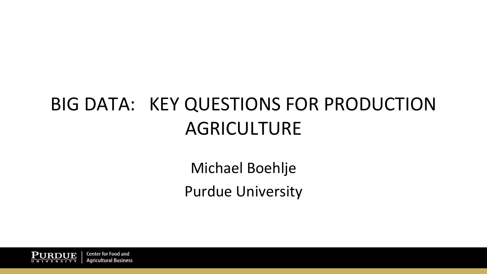# BIG DATA: KEY QUESTIONS FOR PRODUCTION AGRICULTURE

Michael Boehlje **Purdue University** 

**Center for Food and** Aaricultural Business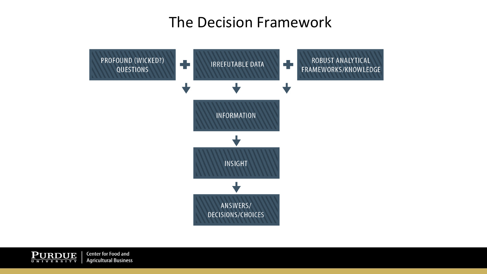### The Decision Framework



 $\underbrace{\textbf{P} \textbf{U} \textbf{R} \textbf{D} \textbf{U} \textbf{E}}_{U \textbf{N} \textbf{I} \textbf{V} \textbf{E} \textbf{R} \textbf{S} \textbf{I} \textbf{T} \textbf{Y}}$ **Center for Food and Agricultural Business**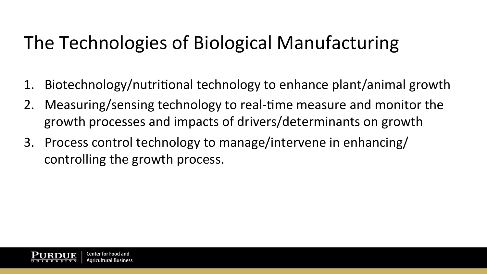# The Technologies of Biological Manufacturing

- 1. Biotechnology/nutritional technology to enhance plant/animal growth
- 2. Measuring/sensing technology to real-time measure and monitor the growth processes and impacts of drivers/determinants on growth
- 3. Process control technology to manage/intervene in enhancing/ controlling the growth process.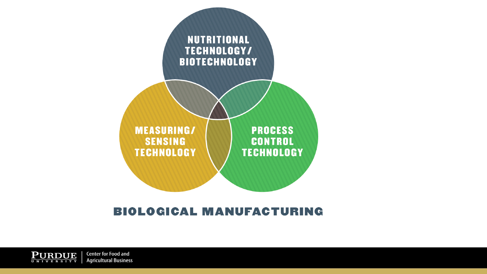

#### **BIOLOGICAL MANUFACTURING**

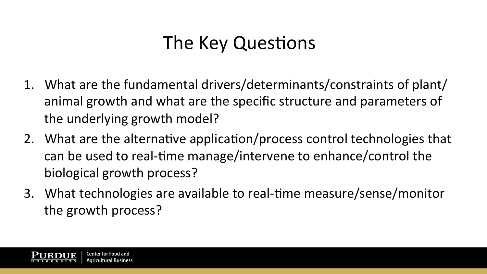## The Key Questions

- 1. What are the fundamental drivers/determinants/constraints of plant/ animal growth and what are the specific structure and parameters of the underlying growth model?
- 2. What are the alternative application/process control technologies that can be used to real-time manage/intervene to enhance/control the biological growth process?
- 3. What technologies are available to real-time measure/sense/monitor the growth process?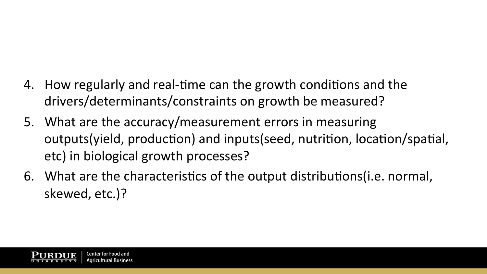- 4. How regularly and real-time can the growth conditions and the drivers/determinants/constraints on growth be measured?
- 5. What are the accuracy/measurement errors in measuring outputs(yield, production) and inputs(seed, nutrition, location/spatial, etc) in biological growth processes?
- 6. What are the characteristics of the output distributions (i.e. normal, skewed, etc.)?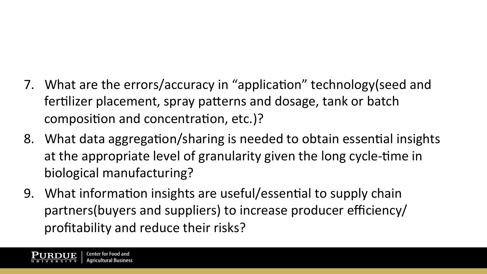- 7. What are the errors/accuracy in "application" technology(seed and fertilizer placement, spray patterns and dosage, tank or batch composition and concentration, etc.)?
- 8. What data aggregation/sharing is needed to obtain essential insights at the appropriate level of granularity given the long cycle-time in biological manufacturing?
- 9. What information insights are useful/essential to supply chain partners(buyers and suppliers) to increase producer efficiency/ profitability and reduce their risks?